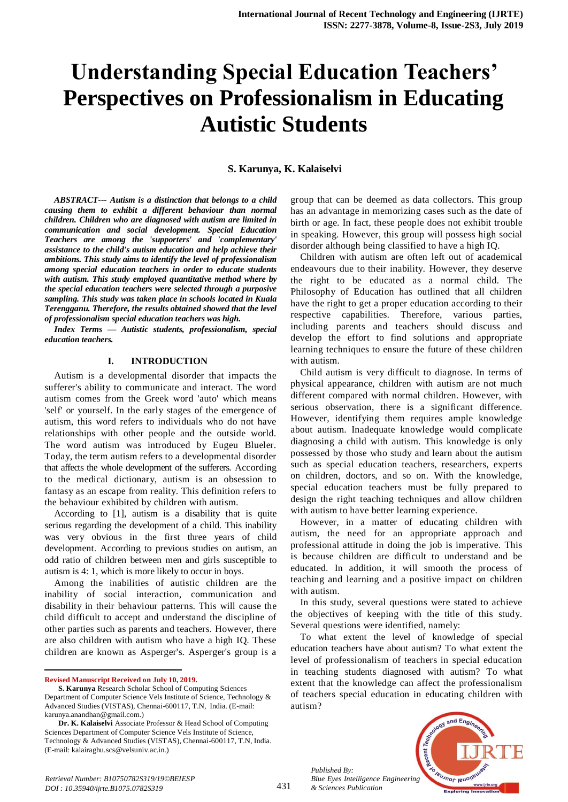# **Understanding Special Education Teachers' Perspectives on Professionalism in Educating Autistic Students**

#### **S. Karunya, K. Kalaiselvi**

*ABSTRACT--- Autism is a distinction that belongs to a child causing them to exhibit a different behaviour than normal children. Children who are diagnosed with autism are limited in communication and social development. Special Education Teachers are among the 'supporters' and 'complementary' assistance to the child's autism education and help achieve their ambitions. This study aims to identify the level of professionalism among special education teachers in order to educate students with autism. This study employed quantitative method where by the special education teachers were selected through a purposive sampling. This study was taken place in schools located in Kuala Terengganu. Therefore, the results obtained showed that the level of professionalism special education teachers was high.*

*Index Terms — Autistic students, professionalism, special education teachers.*

#### **I. INTRODUCTION**

Autism is a developmental disorder that impacts the sufferer's ability to communicate and interact. The word autism comes from the Greek word 'auto' which means 'self' or yourself. In the early stages of the emergence of autism, this word refers to individuals who do not have relationships with other people and the outside world. The word autism was introduced by Eugeu Blueler. Today, the term autism refers to a developmental disorder that affects the whole development of the sufferers. According to the medical dictionary, autism is an obsession to fantasy as an escape from reality. This definition refers to the behaviour exhibited by children with autism.

According to [1], autism is a disability that is quite serious regarding the development of a child. This inability was very obvious in the first three years of child development. According to previous studies on autism, an odd ratio of children between men and girls susceptible to autism is 4: 1, which is more likely to occur in boys.

Among the inabilities of autistic children are the inability of social interaction, communication and disability in their behaviour patterns. This will cause the child difficult to accept and understand the discipline of other parties such as parents and teachers. However, there are also children with autism who have a high IQ. These children are known as Asperger's. Asperger's group is a

**Revised Manuscript Received on July 10, 2019.**

1

group that can be deemed as data collectors. This group has an advantage in memorizing cases such as the date of birth or age. In fact, these people does not exhibit trouble in speaking. However, this group will possess high social disorder although being classified to have a high IQ.

Children with autism are often left out of academical endeavours due to their inability. However, they deserve the right to be educated as a normal child. The Philosophy of Education has outlined that all children have the right to get a proper education according to their respective capabilities. Therefore, various parties, including parents and teachers should discuss and develop the effort to find solutions and appropriate learning techniques to ensure the future of these children with autism.

Child autism is very difficult to diagnose. In terms of physical appearance, children with autism are not much different compared with normal children. However, with serious observation, there is a significant difference. However, identifying them requires ample knowledge about autism. Inadequate knowledge would complicate diagnosing a child with autism. This knowledge is only possessed by those who study and learn about the autism such as special education teachers, researchers, experts on children, doctors, and so on. With the knowledge, special education teachers must be fully prepared to design the right teaching techniques and allow children with autism to have better learning experience.

However, in a matter of educating children with autism, the need for an appropriate approach and professional attitude in doing the job is imperative. This is because children are difficult to understand and be educated. In addition, it will smooth the process of teaching and learning and a positive impact on children with autism.

In this study, several questions were stated to achieve the objectives of keeping with the title of this study. Several questions were identified, namely:

To what extent the level of knowledge of special education teachers have about autism? To what extent the level of professionalism of teachers in special education in teaching students diagnosed with autism? To what extent that the knowledge can affect the professionalism of teachers special education in educating children with autism?



*Published By:*

**S. Karunya** Research Scholar School of Computing Sciences Department of Computer Science Vels Institute of Science, Technology & Advanced Studies (VISTAS), Chennai-600117, T.N, India. (E-mail: karunya.anandhan@gmail.com.)

**Dr. K. Kalaiselvi** Associate Professor & Head School of Computing Sciences Department of Computer Science Vels Institute of Science, Technology & Advanced Studies (VISTAS), Chennai-600117, T.N, India. (E-mail: kalairaghu.scs@velsuniv.ac.in.)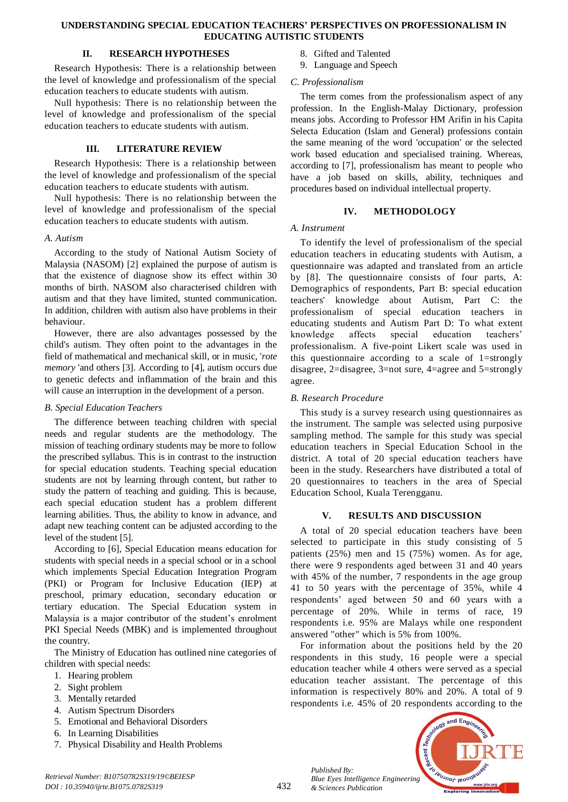#### **UNDERSTANDING SPECIAL EDUCATION TEACHERS' PERSPECTIVES ON PROFESSIONALISM IN EDUCATING AUTISTIC STUDENTS**

## **II. RESEARCH HYPOTHESES**

Research Hypothesis: There is a relationship between the level of knowledge and professionalism of the special education teachers to educate students with autism.

Null hypothesis: There is no relationship between the level of knowledge and professionalism of the special education teachers to educate students with autism.

## **III. LITERATURE REVIEW**

Research Hypothesis: There is a relationship between the level of knowledge and professionalism of the special education teachers to educate students with autism.

Null hypothesis: There is no relationship between the level of knowledge and professionalism of the special education teachers to educate students with autism.

## *A. Autism*

According to the study of National Autism Society of Malaysia (NASOM) [2] explained the purpose of autism is that the existence of diagnose show its effect within 30 months of birth. NASOM also characterised children with autism and that they have limited, stunted communication. In addition, children with autism also have problems in their behaviour.

However, there are also advantages possessed by the child's autism. They often point to the advantages in the field of mathematical and mechanical skill, or in music, '*rote memory* 'and others [3]. According to [4], autism occurs due to genetic defects and inflammation of the brain and this will cause an interruption in the development of a person.

# *B. Special Education Teachers*

The difference between teaching children with special needs and regular students are the methodology. The mission of teaching ordinary students may be more to follow the prescribed syllabus. This is in contrast to the instruction for special education students. Teaching special education students are not by learning through content, but rather to study the pattern of teaching and guiding. This is because, each special education student has a problem different learning abilities. Thus, the ability to know in advance, and adapt new teaching content can be adjusted according to the level of the student [5].

According to [6], Special Education means education for students with special needs in a special school or in a school which implements Special Education Integration Program (PKI) or Program for Inclusive Education (IEP) at preschool, primary education, secondary education or tertiary education. The Special Education system in Malaysia is a major contributor of the student's enrolment PKI Special Needs (MBK) and is implemented throughout the country.

The Ministry of Education has outlined nine categories of children with special needs:

- 1. Hearing problem
- 2. Sight problem
- 3. Mentally retarded
- 4. Autism Spectrum Disorders
- 5. Emotional and Behavioral Disorders
- 6. In Learning Disabilities
- 7. Physical Disability and Health Problems
- 8. Gifted and Talented
- 9. Language and Speech

## *C. Professionalism*

The term comes from the professionalism aspect of any profession. In the English-Malay Dictionary, profession means jobs. According to Professor HM Arifin in his Capita Selecta Education (Islam and General) professions contain the same meaning of the word 'occupation' or the selected work based education and specialised training. Whereas, according to [7], professionalism has meant to people who have a job based on skills, ability, techniques and procedures based on individual intellectual property.

# **IV. METHODOLOGY**

## *A. Instrument*

To identify the level of professionalism of the special education teachers in educating students with Autism, a questionnaire was adapted and translated from an article by [8]. The questionnaire consists of four parts, A: Demographics of respondents, Part B: special education teachers' knowledge about Autism, Part C: the professionalism of special education teachers in educating students and Autism Part D: To what extent knowledge affects special education teachers' professionalism. A five-point Likert scale was used in this questionnaire according to a scale of 1=strongly disagree, 2=disagree, 3=not sure, 4=agree and 5=strongly agree.

# *B. Research Procedure*

This study is a survey research using questionnaires as the instrument. The sample was selected using purposive sampling method*.* The sample for this study was special education teachers in Special Education School in the district. A total of 20 special education teachers have been in the study. Researchers have distributed a total of 20 questionnaires to teachers in the area of Special Education School, Kuala Terengganu.

# **V. RESULTS AND DISCUSSION**

A total of 20 special education teachers have been selected to participate in this study consisting of 5 patients (25%) men and 15 (75%) women. As for age, there were 9 respondents aged between 31 and 40 years with 45% of the number, 7 respondents in the age group 41 to 50 years with the percentage of 35%, while 4 respondents' aged between 50 and 60 years with a percentage of 20%. While in terms of race, 19 respondents i.e. 95% are Malays while one respondent answered "other" which is 5% from 100%.

For information about the positions held by the 20 respondents in this study, 16 people were a special education teacher while 4 others were served as a special education teacher assistant. The percentage of this information is respectively 80% and 20%. A total of 9 respondents i.e. 45% of 20 respondents according to the

*Published By: Blue Eyes Intelligence Engineering & Sciences Publication* 

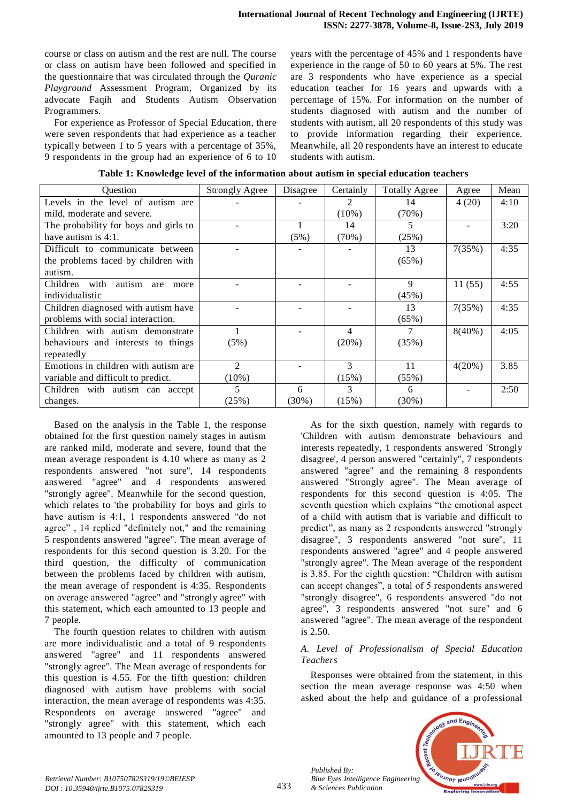course or class on autism and the rest are null. The course or class on autism have been followed and specified in the questionnaire that was circulated through the *Quranic Playground* Assessment Program*,* Organized by its advocate Faqih and Students Autism Observation Programmers.

For experience as Professor of Special Education, there were seven respondents that had experience as a teacher typically between 1 to 5 years with a percentage of 35%, 9 respondents in the group had an experience of 6 to 10 years with the percentage of 45% and 1 respondents have experience in the range of 50 to 60 years at 5%. The rest are 3 respondents who have experience as a special education teacher for 16 years and upwards with a percentage of 15%. For information on the number of students diagnosed with autism and the number of students with autism, all 20 respondents of this study was to provide information regarding their experience. Meanwhile, all 20 respondents have an interest to educate students with autism.

| <b>Ouestion</b>                        | <b>Strongly Agree</b>       | Disagree | Certainly                   | <b>Totally Agree</b> | Agree     | Mean |
|----------------------------------------|-----------------------------|----------|-----------------------------|----------------------|-----------|------|
| Levels in the level of autism are      |                             |          | $\mathcal{D}_{\mathcal{A}}$ | 14                   | 4(20)     | 4:10 |
| mild, moderate and severe.             |                             |          | $(10\%)$                    | (70%)                |           |      |
| The probability for boys and girls to  |                             |          | 14                          | 5                    |           | 3:20 |
| have autism is $4:1$ .                 |                             | (5%)     | (70%)                       | (25%)                |           |      |
| Difficult to communicate between       |                             |          |                             | 13                   | 7(35%)    | 4:35 |
| the problems faced by children with    |                             |          |                             | $(65\%)$             |           |      |
| autism.                                |                             |          |                             |                      |           |      |
| Children with<br>autism<br>are<br>more |                             |          |                             | 9                    | 11(55)    | 4:55 |
| individualistic                        |                             |          |                             | (45%)                |           |      |
| Children diagnosed with autism have    |                             |          |                             | 13                   | 7(35%)    | 4:35 |
| problems with social interaction.      |                             |          |                             | $(65\%)$             |           |      |
| Children with autism demonstrate       |                             |          | 4                           | 7                    | $8(40\%)$ | 4:05 |
| behaviours and interests to things     | (5%)                        |          | $(20\%)$                    | (35%)                |           |      |
| repeatedly                             |                             |          |                             |                      |           |      |
| Emotions in children with autism are   | $\mathcal{D}_{\mathcal{L}}$ |          | 3                           | 11                   | $4(20\%)$ | 3.85 |
| variable and difficult to predict.     | $(10\%)$                    |          | (15%)                       | (55%)                |           |      |
| Children with autism can accept        | 5                           | 6        | 3                           | 6                    |           | 2:50 |
| changes.                               | (25%)                       | $(30\%)$ | (15%)                       | $(30\%)$             |           |      |

Based on the analysis in the Table 1, the response obtained for the first question namely stages in autism are ranked mild, moderate and severe, found that the mean average respondent is 4.10 where as many as 2 respondents answered "not sure", 14 respondents answered "agree" and 4 respondents answered "strongly agree". Meanwhile for the second question, which relates to 'the probability for boys and girls to have autism is 4:1, 1 respondents answered "do not agree" , 14 replied "definitely not," and the remaining 5 respondents answered "agree". The mean average of respondents for this second question is 3.20. For the third question, the difficulty of communication between the problems faced by children with autism, the mean average of respondent is 4:35. Respondents on average answered "agree" and "strongly agree" with this statement, which each amounted to 13 people and 7 people.

The fourth question relates to children with autism are more individualistic and a total of 9 respondents answered "agree" and 11 respondents answered "strongly agree". The Mean average of respondents for this question is 4.55. For the fifth question: children diagnosed with autism have problems with social interaction, the mean average of respondents was 4:35. Respondents on average answered "agree" and "strongly agree" with this statement, which each amounted to 13 people and 7 people.

As for the sixth question, namely with regards to 'Children with autism demonstrate behaviours and interests repeatedly, 1 respondents answered 'Strongly disagree', 4 person answered "certainly", 7 respondents answered "agree" and the remaining 8 respondents answered "Strongly agree". The Mean average of respondents for this second question is 4:05. The seventh question which explains "the emotional aspect of a child with autism that is variable and difficult to predict", as many as 2 respondents answered "strongly disagree", 3 respondents answered "not sure", 11 respondents answered "agree" and 4 people answered "strongly agree". The Mean average of the respondent is 3.85. For the eighth question: "Children with autism can accept changes", a total of 5 respondents answered "strongly disagree", 6 respondents answered "do not agree", 3 respondents answered "not sure" and 6 answered "agree". The mean average of the respondent is 2.50.

# *A. Level of Professionalism of Special Education Teachers*

Responses were obtained from the statement, in this section the mean average response was 4:50 when asked about the help and guidance of a professional



*Published By:*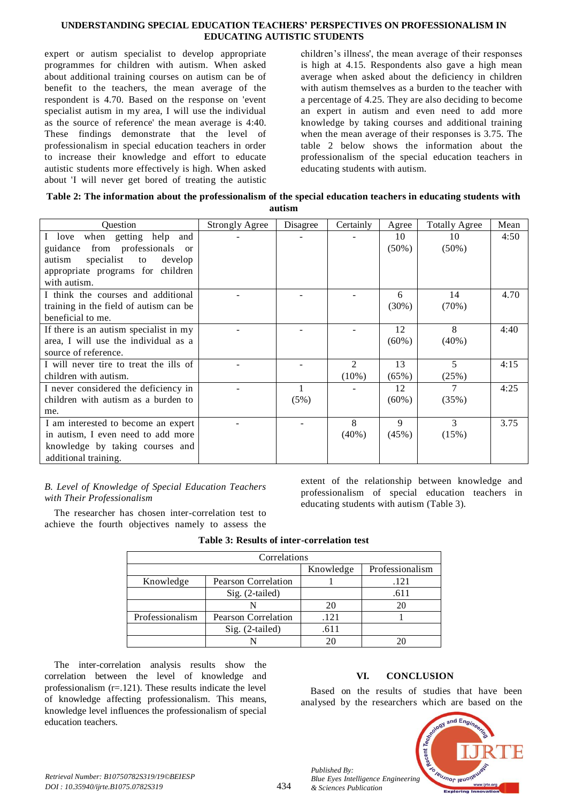## **UNDERSTANDING SPECIAL EDUCATION TEACHERS' PERSPECTIVES ON PROFESSIONALISM IN EDUCATING AUTISTIC STUDENTS**

expert or autism specialist to develop appropriate programmes for children with autism. When asked about additional training courses on autism can be of benefit to the teachers, the mean average of the respondent is 4.70. Based on the response on 'event specialist autism in my area, I will use the individual as the source of reference' the mean average is 4:40. These findings demonstrate that the level of professionalism in special education teachers in order to increase their knowledge and effort to educate autistic students more effectively is high. When asked about 'I will never get bored of treating the autistic

children's illness', the mean average of their responses is high at 4.15. Respondents also gave a high mean average when asked about the deficiency in children with autism themselves as a burden to the teacher with a percentage of 4.25. They are also deciding to become an expert in autism and even need to add more knowledge by taking courses and additional training when the mean average of their responses is 3.75. The table 2 below shows the information about the professionalism of the special education teachers in educating students with autism.

| Table 2: The information about the professionalism of the special education teachers in educating students with |
|-----------------------------------------------------------------------------------------------------------------|
| autism                                                                                                          |

| <b>Ouestion</b>                              | <b>Strongly Agree</b> | Disagree | Certainly      | Agree    | <b>Totally Agree</b> | Mean |
|----------------------------------------------|-----------------------|----------|----------------|----------|----------------------|------|
| when getting help<br>and<br>I love           |                       |          |                | 10       | 10                   | 4:50 |
| guidance from professionals<br><sub>or</sub> |                       |          |                | $(50\%)$ | $(50\%)$             |      |
| autism<br>specialist<br>develop<br>to        |                       |          |                |          |                      |      |
| appropriate programs for children            |                       |          |                |          |                      |      |
| with autism.                                 |                       |          |                |          |                      |      |
| I think the courses and additional           |                       |          |                | 6        | 14                   | 4.70 |
| training in the field of autism can be       |                       |          |                | $(30\%)$ | (70%)                |      |
| beneficial to me.                            |                       |          |                |          |                      |      |
| If there is an autism specialist in my       |                       |          |                | 12       | 8                    | 4:40 |
| area, I will use the individual as a         |                       |          |                | $(60\%)$ | $(40\%)$             |      |
| source of reference.                         |                       |          |                |          |                      |      |
| I will never tire to treat the ills of       |                       |          | $\mathfrak{D}$ | 13       | 5                    | 4:15 |
| children with autism.                        |                       |          | $(10\%)$       | (65%)    | (25%)                |      |
| I never considered the deficiency in         |                       |          |                | 12       |                      | 4:25 |
| children with autism as a burden to          |                       | (5%)     |                | $(60\%)$ | (35%)                |      |
| me.                                          |                       |          |                |          |                      |      |
| I am interested to become an expert          |                       |          | 8              | 9        | 3                    | 3.75 |
| in autism. I even need to add more           |                       |          | $(40\%)$       | $(45\%)$ | (15%)                |      |
| knowledge by taking courses and              |                       |          |                |          |                      |      |
| additional training.                         |                       |          |                |          |                      |      |

## *B. Level of Knowledge of Special Education Teachers with Their Professionalism*

The researcher has chosen inter-correlation test to achieve the fourth objectives namely to assess the extent of the relationship between knowledge and professionalism of special education teachers in educating students with autism (Table 3).

| Correlations    |                            |           |                 |  |  |
|-----------------|----------------------------|-----------|-----------------|--|--|
|                 |                            | Knowledge | Professionalism |  |  |
| Knowledge       | <b>Pearson Correlation</b> |           | .121            |  |  |
|                 | Sig. (2-tailed)            |           | .611            |  |  |
|                 |                            | 20        | 20              |  |  |
| Professionalism | <b>Pearson Correlation</b> | .121      |                 |  |  |
|                 | Sig. (2-tailed)            | .611      |                 |  |  |
|                 |                            |           |                 |  |  |

# **Table 3: Results of inter-correlation test**

The inter-correlation analysis results show the correlation between the level of knowledge and professionalism  $(r=121)$ . These results indicate the level of knowledge affecting professionalism. This means, knowledge level influences the professionalism of special education teachers.

# **VI. CONCLUSION**

Based on the results of studies that have been analysed by the researchers which are based on the



*Published By:*